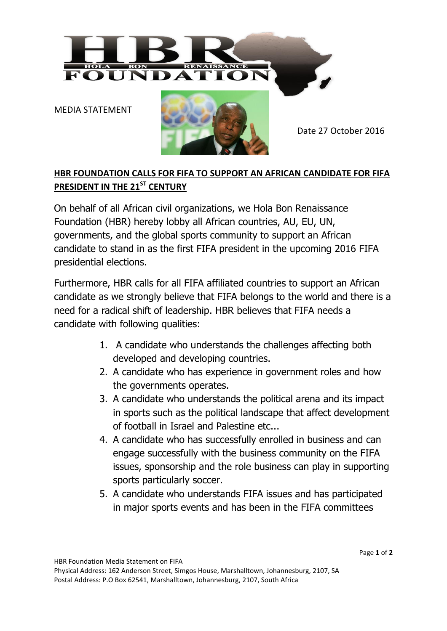

MEDIA STATEMENT



Date 27 October 2016

## **HBR FOUNDATION CALLS FOR FIFA TO SUPPORT AN AFRICAN CANDIDATE FOR FIFA PRESIDENT IN THE 21ST CENTURY**

On behalf of all African civil organizations, we Hola Bon Renaissance Foundation (HBR) hereby lobby all African countries, AU, EU, UN, governments, and the global sports community to support an African candidate to stand in as the first FIFA president in the upcoming 2016 FIFA presidential elections.

Furthermore, HBR calls for all FIFA affiliated countries to support an African candidate as we strongly believe that FIFA belongs to the world and there is a need for a radical shift of leadership. HBR believes that FIFA needs a candidate with following qualities:

- 1. A candidate who understands the challenges affecting both developed and developing countries.
- 2. A candidate who has experience in government roles and how the governments operates.
- 3. A candidate who understands the political arena and its impact in sports such as the political landscape that affect development of football in Israel and Palestine etc...
- 4. A candidate who has successfully enrolled in business and can engage successfully with the business community on the FIFA issues, sponsorship and the role business can play in supporting sports particularly soccer.
- 5. A candidate who understands FIFA issues and has participated in major sports events and has been in the FIFA committees